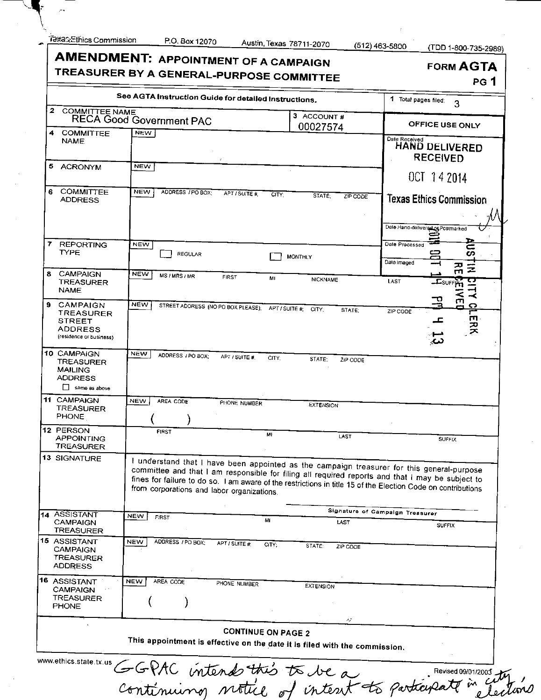**(512)463-5800 (TDD 1-800-735-2989^** 

| <b>AMENDMENT: APPOINTMENT OF A CAMPAIGN</b><br>TREASURER BY A GENERAL-PURPOSE COMMITTEE | <b>FORM AGTA</b><br>PG <sub>1</sub>                                        |                                                        |                          |                                                                                                                                                                                                                                                                                                                |
|-----------------------------------------------------------------------------------------|----------------------------------------------------------------------------|--------------------------------------------------------|--------------------------|----------------------------------------------------------------------------------------------------------------------------------------------------------------------------------------------------------------------------------------------------------------------------------------------------------------|
| See AGTA Instruction Guide for detailed Instructions.                                   | 1 Total pages filed:<br>3                                                  |                                                        |                          |                                                                                                                                                                                                                                                                                                                |
| $\mathbf{2}$<br><b>COMMITTEE NAME</b>                                                   | <b>RECA Good Government PAC</b>                                            |                                                        | 3 ACCOUNT#<br>00027574   | OFFICE USE ONLY                                                                                                                                                                                                                                                                                                |
| <b>COMMITTEE</b><br>4<br><b>NAME</b>                                                    | <b>NEW</b>                                                                 |                                                        |                          | Date Received<br>HAND DELIVERED<br><b>RECEIVED</b>                                                                                                                                                                                                                                                             |
| 5<br>ACRONYM                                                                            | <b>NEW</b>                                                                 |                                                        |                          | OCT 14 2014                                                                                                                                                                                                                                                                                                    |
| COMMITTEE<br>6<br><b>ADDRESS</b>                                                        | <b>NEW</b><br>ADDRESS / PO BOX:                                            | APT / SUITE #<br>CITY:                                 | STATE:<br>ZIP CODE       | <b>Texas Ethics Commission</b><br>Date Hand-delivered os Postmarked                                                                                                                                                                                                                                            |
| 7.<br><b>REPORTING</b><br><b>TYPE</b>                                                   | <b>NEW</b><br><b>REGULAR</b>                                               | <b>MONTHLY</b>                                         |                          | Date Processed<br>c<br>吕<br>ω<br>Date imaged<br>고                                                                                                                                                                                                                                                              |
| 8<br><b>CAMPAIGN</b><br>TREASURER<br><b>NAME</b>                                        | <b>NEW</b><br>MS / MRS / MR                                                | <b>FIRST</b><br>MI                                     | <b>NICKNAME</b>          | z<br>m<br>LAST<br>$\Xi$ surr $\mu$                                                                                                                                                                                                                                                                             |
| 9<br>CAMPAIGN<br>TREASURER<br><b>STREET</b><br>ADDRESS<br>(residence or business)       | NEW                                                                        | STREET ADDRESS (NO PO BOX PLEASE), APT / SUITE # CITY; | STATE:                   | ล์<br>$\prec$<br>p<br>$\bullet$<br>ZIP CODE<br>ERK<br>ᅩ<br>دے                                                                                                                                                                                                                                                  |
| 10 CAMPAIGN<br>TREASURER<br><b>MAILING</b><br><b>ADDRESS</b><br>$\Box$ same as above    | <b>NEW</b><br>ADDRESS / PO BOX;                                            | APT / SUITE #<br>CITY:                                 | STATE:<br>ZIP CODE       |                                                                                                                                                                                                                                                                                                                |
| <b>11 CAMPAIGN</b><br>TREASURER<br><b>PHONE</b>                                         | <b>NEW</b><br>AREA CODE                                                    | PHONE NUMBER                                           | <b>EXTENSION</b>         |                                                                                                                                                                                                                                                                                                                |
| 12 PERSON<br><b>APPOINTING</b><br>TREASURER                                             | <b>FIRST</b>                                                               | MI                                                     | LAST                     | <b>SUFFIX</b>                                                                                                                                                                                                                                                                                                  |
| 13 SIGNATURE                                                                            | from corporations and labor organizations.                                 |                                                        |                          | I understand that I have been appointed as the campaign treasurer for this general-purpose<br>committee and that I am responsible for filing all required reports and that I may be subject to<br>fines for failure to do so. I am aware of the restrictions in title 15 of the Election Code on contributions |
| 14 ASSISTANT                                                                            | <b>NEW</b><br><b>FIRST</b>                                                 | ML                                                     |                          | Signature of Campaign Treasurer                                                                                                                                                                                                                                                                                |
| <b>CAMPAIGN</b><br>TREASURER                                                            |                                                                            |                                                        | LAST                     | <b>SUFFIX</b>                                                                                                                                                                                                                                                                                                  |
| <b>15 ASSISTANT</b><br><b>CAMPAIGN</b><br>TREASURER<br><b>ADDRESS</b>                   | <b>NEW</b><br>ADDRESS / PO BOX:                                            | APT / SUITE #<br>CITY:                                 | <b>STATE</b><br>ZIP CODE |                                                                                                                                                                                                                                                                                                                |
| 16 ASSISTANT<br><b>CAMPAIGN</b><br>TREASURER<br><b>PHONE</b>                            | <b>NEW</b><br>AREA CODE                                                    | PHONE NUMBER                                           | <b>EXTENSION</b>         |                                                                                                                                                                                                                                                                                                                |
|                                                                                         | This appointment is effective on the date it is filed with the commission. | <b>CONTINUE ON PAGE 2</b>                              | $\sigma_{\rm eff}$       |                                                                                                                                                                                                                                                                                                                |
| www.ethics.state.tx.us                                                                  |                                                                            |                                                        |                          | GGPAC intends this to be a Revised 09/01/2003 ty                                                                                                                                                                                                                                                               |